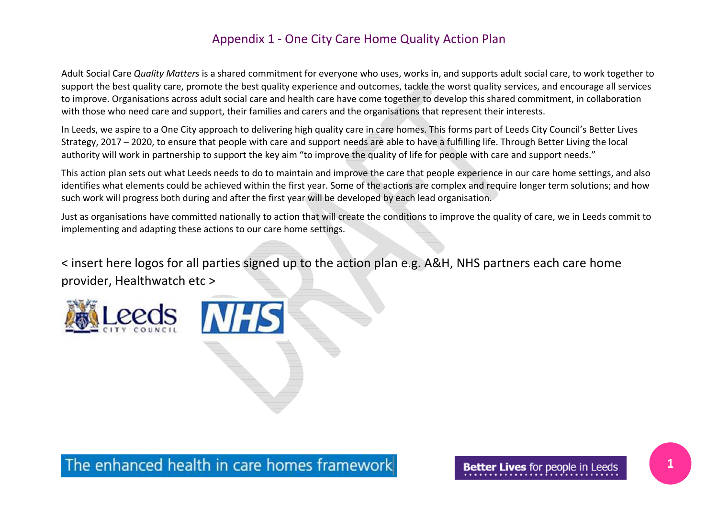Adult Social Care *Quality Matters* is <sup>a</sup> shared commitment for everyone who uses, works in, and supports adult social care, to work together to support the best quality care, promote the best quality experience and outcomes, tackle the worst quality services, and encourage all services to improve. Organisations across adult social care and health care have come together to develop this shared commitment, in collaboration with those who need care and support, their families and carers and the organisations that represent their interests.

In Leeds, we aspire to <sup>a</sup> One City approach to delivering high quality care in care homes. This forms part of Leeds City Council's Better Lives Strategy, 2017 – 2020, to ensure that people with care and support needs are able to have <sup>a</sup> fulfilling life. Through Better Living the local authority will work in partnership to support the key aim "to improve the quality of life for people with care and support needs."

This action plan sets out what Leeds needs to do to maintain and improve the care that people experience in our care home settings, and also identifies what elements could be achieved within the first year. Some of the actions are complex and require longer term solutions; and how such work will progress both during and after the first year will be developed by each lead organisation.

Just as organisations have committed nationally to action that will create the conditions to improve the quality of care, we in Leeds commit to implementing and adapting these actions to our care home settings.

< insert here logos for all parties signed up to the action plan e.g. A&H, NHS partners each care home provider, Healthwatch etc <sup>&</sup>gt;





The enhanced health in care homes framework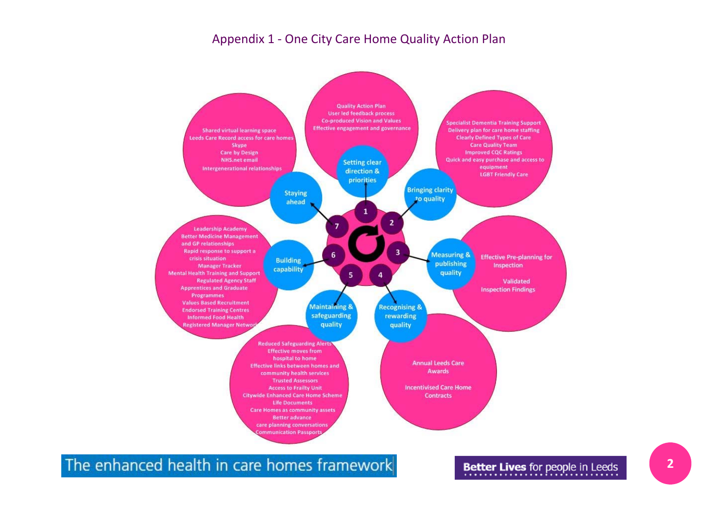

The enhanced health in care homes framework

Better Lives for people in Leeds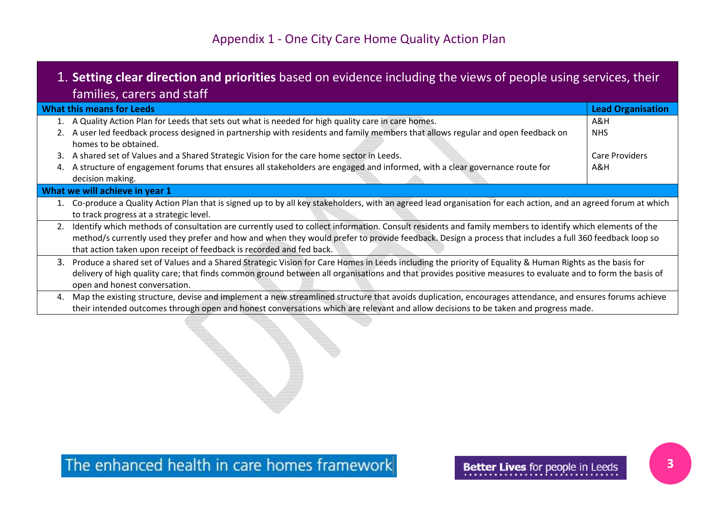|                                   | 1. Setting clear direction and priorities based on evidence including the views of people using services, their |
|-----------------------------------|-----------------------------------------------------------------------------------------------------------------|
| <b>families, carers and staff</b> |                                                                                                                 |

| <b>What this means for Leeds</b> |                                                                                                                                                                  | <b>Lead Organisation</b> |
|----------------------------------|------------------------------------------------------------------------------------------------------------------------------------------------------------------|--------------------------|
|                                  | 1. A Quality Action Plan for Leeds that sets out what is needed for high quality care in care homes.                                                             | A&H                      |
|                                  | A user led feedback process designed in partnership with residents and family members that allows regular and open feedback on                                   | <b>NHS</b>               |
|                                  | homes to be obtained.                                                                                                                                            |                          |
| 3.                               | A shared set of Values and a Shared Strategic Vision for the care home sector in Leeds.                                                                          | Care Providers           |
| 4.                               | A structure of engagement forums that ensures all stakeholders are engaged and informed, with a clear governance route for                                       | A&H                      |
|                                  | decision making.                                                                                                                                                 |                          |
| What we will achieve in year 1   |                                                                                                                                                                  |                          |
|                                  | 1. Co-produce a Quality Action Plan that is signed up to by all key stakeholders, with an agreed lead organisation for each action, and an agreed forum at which |                          |
|                                  | to track progress at a strategic level.                                                                                                                          |                          |
|                                  | Identify which methods of consultation are currently used to collect information. Consult residents and family members to identify which elements of the         |                          |
|                                  | method/s currently used they prefer and how and when they would prefer to provide feedback. Design a process that includes a full 360 feedback loop so           |                          |
|                                  | that action taken upon receipt of feedback is recorded and fed back.                                                                                             |                          |
|                                  | 3. Produce a shared set of Values and a Shared Strategic Vision for Care Homes in Leeds including the priority of Equality & Human Rights as the basis for       |                          |
|                                  | delivery of high quality care; that finds common ground between all organisations and that provides positive measures to evaluate and to form the basis of       |                          |
|                                  | open and honest conversation.                                                                                                                                    |                          |
| 4.                               | Map the existing structure, devise and implement a new streamlined structure that avoids duplication, encourages attendance, and ensures forums achieve          |                          |
|                                  | their intended outcomes through open and honest conversations which are relevant and allow decisions to be taken and progress made.                              |                          |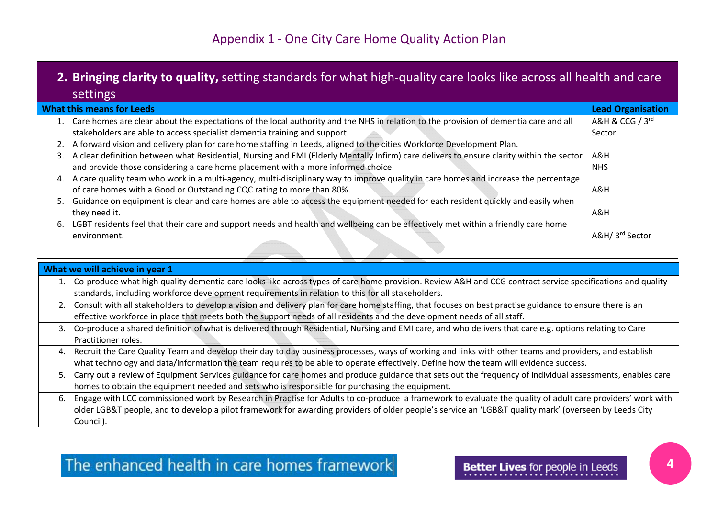## **2. Bringing clarity to quality,** setting standards for what high‐quality care looks like across all health and care settings

| <b>What this means for Leeds</b> |                                                                                                                                             | <b>Lead Organisation</b> |
|----------------------------------|---------------------------------------------------------------------------------------------------------------------------------------------|--------------------------|
|                                  | Care homes are clear about the expectations of the local authority and the NHS in relation to the provision of dementia care and all        | A&H & CCG / 3rd          |
|                                  | stakeholders are able to access specialist dementia training and support.                                                                   | Sector                   |
|                                  | 2. A forward vision and delivery plan for care home staffing in Leeds, aligned to the cities Workforce Development Plan.                    |                          |
|                                  | 3. A clear definition between what Residential, Nursing and EMI (Elderly Mentally Infirm) care delivers to ensure clarity within the sector | A&H                      |
|                                  | and provide those considering a care home placement with a more informed choice.                                                            | <b>NHS</b>               |
| 4.                               | A care quality team who work in a multi-agency, multi-disciplinary way to improve quality in care homes and increase the percentage         |                          |
|                                  | of care homes with a Good or Outstanding CQC rating to more than 80%.                                                                       | A&H                      |
| 5.                               | Guidance on equipment is clear and care homes are able to access the equipment needed for each resident quickly and easily when             |                          |
|                                  | they need it.                                                                                                                               | A&H                      |
| 6.                               | LGBT residents feel that their care and support needs and health and wellbeing can be effectively met within a friendly care home           |                          |
|                                  | environment.                                                                                                                                | A&H/ 3rd Sector          |
|                                  |                                                                                                                                             |                          |

| What we will achieve in year 1 |                                                                                                                                                              |  |
|--------------------------------|--------------------------------------------------------------------------------------------------------------------------------------------------------------|--|
|                                | Co-produce what high quality dementia care looks like across types of care home provision. Review A&H and CCG contract service specifications and quality    |  |
|                                | standards, including workforce development requirements in relation to this for all stakeholders.                                                            |  |
|                                | 2. Consult with all stakeholders to develop a vision and delivery plan for care home staffing, that focuses on best practise guidance to ensure there is an  |  |
|                                | effective workforce in place that meets both the support needs of all residents and the development needs of all staff.                                      |  |
|                                | 3. Co-produce a shared definition of what is delivered through Residential, Nursing and EMI care, and who delivers that care e.g. options relating to Care   |  |
|                                | Practitioner roles.                                                                                                                                          |  |
| 4.                             | Recruit the Care Quality Team and develop their day to day business processes, ways of working and links with other teams and providers, and establish       |  |
|                                | what technology and data/information the team requires to be able to operate effectively. Define how the team will evidence success.                         |  |
|                                | 5. Carry out a review of Equipment Services guidance for care homes and produce guidance that sets out the frequency of individual assessments, enables care |  |
|                                | homes to obtain the equipment needed and sets who is responsible for purchasing the equipment.                                                               |  |
| 6.                             | Engage with LCC commissioned work by Research in Practise for Adults to co-produce a framework to evaluate the quality of adult care providers' work with    |  |
|                                | older LGB&T people, and to develop a pilot framework for awarding providers of older people's service an 'LGB&T quality mark' (overseen by Leeds City        |  |
|                                | Council).                                                                                                                                                    |  |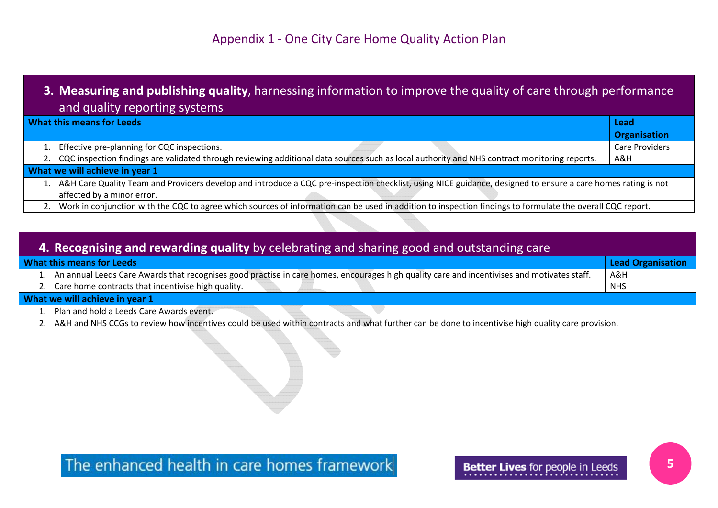## **3. Measuring and publishing quality**, harnessing information to improve the quality of care through performance and quality reporting systems

| <b>What this means for Leeds</b> |                                                                                                                                                              | Lead                  |
|----------------------------------|--------------------------------------------------------------------------------------------------------------------------------------------------------------|-----------------------|
|                                  |                                                                                                                                                              | <b>Organisation</b>   |
|                                  | Effective pre-planning for CQC inspections.                                                                                                                  | <b>Care Providers</b> |
|                                  | CQC inspection findings are validated through reviewing additional data sources such as local authority and NHS contract monitoring reports.                 | A&H                   |
| What we will achieve in year 1   |                                                                                                                                                              |                       |
|                                  | A&H Care Quality Team and Providers develop and introduce a CQC pre-inspection checklist, using NICE guidance, designed to ensure a care homes rating is not |                       |
|                                  | affected by a minor error.                                                                                                                                   |                       |
|                                  | 0. West to continuate with the COO to case with consecutive of the meeting as in addition to the contract fugitive to formulate the country of COO security  |                       |

2.. Work in conjunction with the CQC to agree which sources of information can be used in addition to inspection findings to formulate the overall CQC report.

#### **4. Recognising and rewarding quality** by celebrating and sharing good and outstanding care **What this means for Leeds LeadLead Organisation** 1. An annual Leeds Care Awards that recognises good practise in care homes, encourages high quality care and incentivises and motivates staff. A&H NHS

2. Care home contracts that incentivise high quality.

### **What we will achieve in year 1**

- 1.Plan and hold <sup>a</sup> Leeds Care Awards event.
- 2. A&H and NHS CCGs to review how incentives could be used within contracts and what further can be done to incentivise high quality care provision.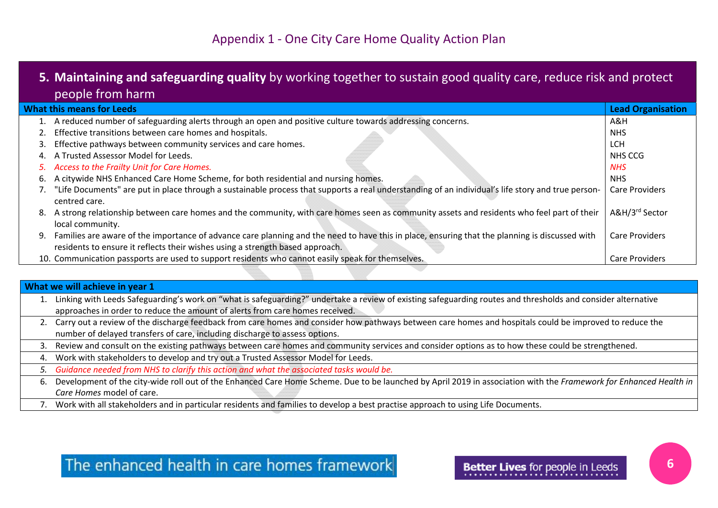## **5. Maintaining and safeguarding quality** by working together to sustain good quality care, reduce risk and protect people from harm

| <b>What this means for Leeds</b> |                                                                                                                                                                                                                                 | <b>Lead Organisation</b>   |
|----------------------------------|---------------------------------------------------------------------------------------------------------------------------------------------------------------------------------------------------------------------------------|----------------------------|
| 1.                               | A reduced number of safeguarding alerts through an open and positive culture towards addressing concerns.                                                                                                                       | A&H                        |
|                                  | Effective transitions between care homes and hospitals.                                                                                                                                                                         | <b>NHS</b>                 |
| 3.                               | Effective pathways between community services and care homes.                                                                                                                                                                   | <b>LCH</b>                 |
|                                  | A Trusted Assessor Model for Leeds.                                                                                                                                                                                             | NHS CCG                    |
| 5.                               | Access to the Frailty Unit for Care Homes.                                                                                                                                                                                      | <b>NHS</b>                 |
| ь.                               | A citywide NHS Enhanced Care Home Scheme, for both residential and nursing homes.                                                                                                                                               | <b>NHS</b>                 |
|                                  | "Life Documents" are put in place through a sustainable process that supports a real understanding of an individual's life story and true person-<br>centred care.                                                              | <b>Care Providers</b>      |
| 8.                               | A strong relationship between care homes and the community, with care homes seen as community assets and residents who feel part of their<br>local community.                                                                   | A&H/3 <sup>rd</sup> Sector |
| 9.                               | Families are aware of the importance of advance care planning and the need to have this in place, ensuring that the planning is discussed with<br>residents to ensure it reflects their wishes using a strength based approach. | <b>Care Providers</b>      |
|                                  | 10. Communication passports are used to support residents who cannot easily speak for themselves.                                                                                                                               | <b>Care Providers</b>      |

### **What we will achieve in year 1**

|    | Linking with Leeds Safeguarding's work on "what is safeguarding?" undertake a review of existing safeguarding routes and thresholds and consider alternative      |
|----|-------------------------------------------------------------------------------------------------------------------------------------------------------------------|
|    | approaches in order to reduce the amount of alerts from care homes received.                                                                                      |
|    | 2. Carry out a review of the discharge feedback from care homes and consider how pathways between care homes and hospitals could be improved to reduce the        |
|    | number of delayed transfers of care, including discharge to assess options.                                                                                       |
| 3. | Review and consult on the existing pathways between care homes and community services and consider options as to how these could be strengthened.                 |
| 4. | Work with stakeholders to develop and try out a Trusted Assessor Model for Leeds.                                                                                 |
|    | 5. Guidance needed from NHS to clarify this action and what the associated tasks would be.                                                                        |
| ь. | Development of the city-wide roll out of the Enhanced Care Home Scheme. Due to be launched by April 2019 in association with the Framework for Enhanced Health in |
|    | Care Homes model of care.                                                                                                                                         |

7. Work with all stakeholders and in particular residents and families to develop <sup>a</sup> best practise approach to using Life Documents.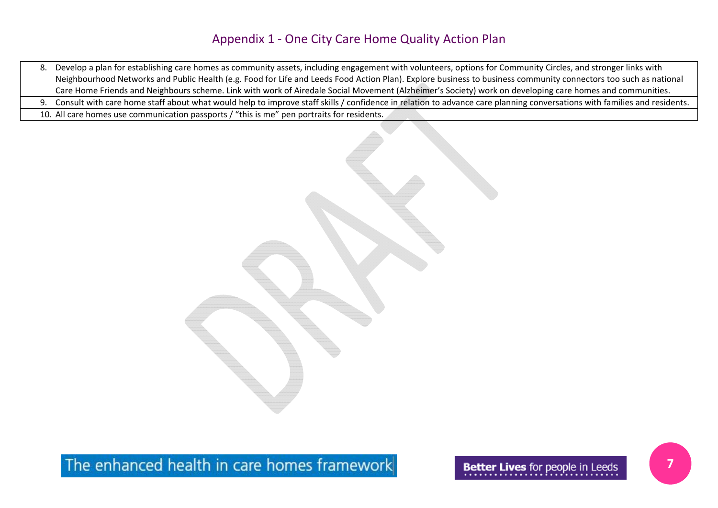- 8. Develop <sup>a</sup> plan for establishing care homes as community assets, including engagement with volunteers, options for Community Circles, and stronger links with Neighbourhood Networks and Public Health (e.g. Food for Life and Leeds Food Action Plan). Explore business to business community connectors too such as national Care Home Friends and Neighbours scheme. Link with work of Airedale Social Movement (Alzheimer's Society) work on developing care homes and communities.
- 9.Consult with care home staff about what would help to improve staff skills / confidence in relation to advance care planning conversations with families and residents.
- 10. All care homes use communication passports / "this is me" pen portraits for residents.



The enhanced health in care homes framework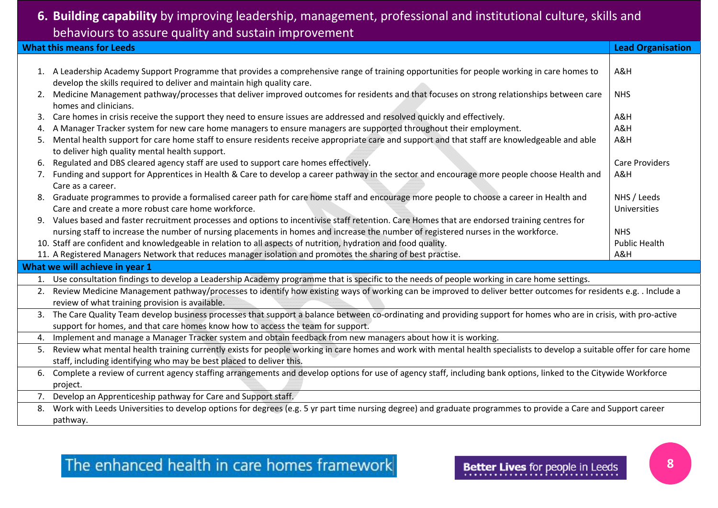# behaviours to assure quality and sustain improvement<br>———————————————————— **6. Building capability** by improving leadership, management, professional and institutional culture, skills and

|    | <b>What this means for Leeds</b>                                                                                                                                                                                                                       | <b>Lead Organisation</b>    |
|----|--------------------------------------------------------------------------------------------------------------------------------------------------------------------------------------------------------------------------------------------------------|-----------------------------|
|    |                                                                                                                                                                                                                                                        |                             |
|    | 1. A Leadership Academy Support Programme that provides a comprehensive range of training opportunities for people working in care homes to<br>develop the skills required to deliver and maintain high quality care.                                  | A&H                         |
| 2. | Medicine Management pathway/processes that deliver improved outcomes for residents and that focuses on strong relationships between care<br>homes and clinicians.                                                                                      | <b>NHS</b>                  |
| 3. | Care homes in crisis receive the support they need to ensure issues are addressed and resolved quickly and effectively.                                                                                                                                | A&H                         |
| 4. | A Manager Tracker system for new care home managers to ensure managers are supported throughout their employment.                                                                                                                                      | A&H                         |
|    | Mental health support for care home staff to ensure residents receive appropriate care and support and that staff are knowledgeable and able<br>to deliver high quality mental health support.                                                         | A&H                         |
| 6. | Regulated and DBS cleared agency staff are used to support care homes effectively.                                                                                                                                                                     | <b>Care Providers</b>       |
|    | 7. Funding and support for Apprentices in Health & Care to develop a career pathway in the sector and encourage more people choose Health and<br>Care as a career.                                                                                     | A&H                         |
| 8. | Graduate programmes to provide a formalised career path for care home staff and encourage more people to choose a career in Health and<br>Care and create a more robust care home workforce.                                                           | NHS / Leeds<br>Universities |
| 9. | Values based and faster recruitment processes and options to incentivise staff retention. Care Homes that are endorsed training centres for                                                                                                            |                             |
|    | nursing staff to increase the number of nursing placements in homes and increase the number of registered nurses in the workforce.                                                                                                                     | <b>NHS</b>                  |
|    | 10. Staff are confident and knowledgeable in relation to all aspects of nutrition, hydration and food quality.                                                                                                                                         | <b>Public Health</b>        |
|    | 11. A Registered Managers Network that reduces manager isolation and promotes the sharing of best practise.                                                                                                                                            | A&H                         |
|    | What we will achieve in year 1                                                                                                                                                                                                                         |                             |
|    | 1. Use consultation findings to develop a Leadership Academy programme that is specific to the needs of people working in care home settings.                                                                                                          |                             |
|    | 2. Review Medicine Management pathway/processes to identify how existing ways of working can be improved to deliver better outcomes for residents e.g. . Include a<br>review of what training provision is available.                                  |                             |
|    | 3. The Care Quality Team develop business processes that support a balance between co-ordinating and providing support for homes who are in crisis, with pro-active<br>support for homes, and that care homes know how to access the team for support. |                             |
|    | 4. Implement and manage a Manager Tracker system and obtain feedback from new managers about how it is working.                                                                                                                                        |                             |
|    | 5. Review what mental health training currently exists for people working in care homes and work with mental health specialists to develop a suitable offer for care home<br>staff, including identifying who may be best placed to deliver this.      |                             |
| 6. | Complete a review of current agency staffing arrangements and develop options for use of agency staff, including bank options, linked to the Citywide Workforce<br>project.                                                                            |                             |
|    | 7. Develop an Apprenticeship pathway for Care and Support staff.                                                                                                                                                                                       |                             |
| 8. | Work with Leeds Universities to develop options for degrees (e.g. 5 yr part time nursing degree) and graduate programmes to provide a Care and Support career<br>pathway.                                                                              |                             |
|    |                                                                                                                                                                                                                                                        |                             |